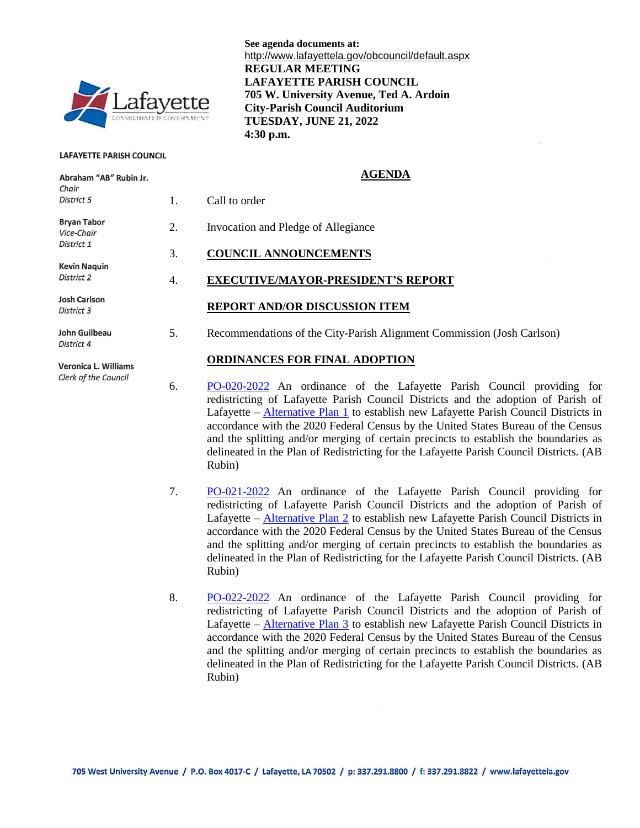

#### **LAFAYETTE PARISH COUNCIL**

Abraham "AB" Rubin Jr.

Clerk of the Council

**See agenda documents at:** http://www.lafayettela.gov/obcouncil/default.aspx **REGULAR MEETING LAFAYETTE PARISH COUNCIL 705 W. University Avenue, Ted A. Ardoin City-Parish Council Auditorium TUESDAY, JUNE 21, 2022 4:30 p.m.**

#### **AGENDA**

| Chair<br>District 5               |    | Call to order                                                          |
|-----------------------------------|----|------------------------------------------------------------------------|
| <b>Bryan Tabor</b><br>Vice-Chair  | 2. | Invocation and Pledge of Allegiance                                    |
| District 1                        | 3. | <b>COUNCIL ANNOUNCEMENTS</b>                                           |
| <b>Kevin Naguin</b><br>District 2 | 4. | <b>EXECUTIVE/MAYOR-PRESIDENT'S REPORT</b>                              |
| Josh Carlson<br>District 3        |    | <b>REPORT AND/OR DISCUSSION ITEM</b>                                   |
| John Guilbeau<br>District 4       | 5. | Recommendations of the City-Parish Alignment Commission (Josh Carlson) |
| Veronica L. Williams              |    | <b>ORDINANCES FOR FINAL ADOPTION</b>                                   |

- 6. [PO-020-2022](http://apps.lafayettela.gov/OBCouncil/ViewDocument.aspx?docID=2155071) An ordinance of the Lafayette Parish Council providing for redistricting of Lafayette Parish Council Districts and the adoption of Parish of Lafayette – [Alternative Plan 1](https://gis.doyleland.com/redistricting/lafayette/parishalt1.pdf) to establish new Lafayette Parish Council Districts in accordance with the 2020 Federal Census by the United States Bureau of the Census and the splitting and/or merging of certain precincts to establish the boundaries as delineated in the Plan of Redistricting for the Lafayette Parish Council Districts. (AB Rubin)
- 7. [PO-021-2022](http://apps.lafayettela.gov/OBCouncil/ViewDocument.aspx?docID=2155066) An ordinance of the Lafayette Parish Council providing for redistricting of Lafayette Parish Council Districts and the adoption of Parish of Lafayette – [Alternative Plan 2](https://gis.doyleland.com/redistricting/lafayette/parishalt2.pdf) to establish new Lafayette Parish Council Districts in accordance with the 2020 Federal Census by the United States Bureau of the Census and the splitting and/or merging of certain precincts to establish the boundaries as delineated in the Plan of Redistricting for the Lafayette Parish Council Districts. (AB Rubin)
- 8. [PO-022-2022](http://apps.lafayettela.gov/OBCouncil/ViewDocument.aspx?docID=2155067) An ordinance of the Lafayette Parish Council providing for redistricting of Lafayette Parish Council Districts and the adoption of Parish of Lafayette – [Alternative Plan 3](https://gis.doyleland.com/redistricting/lafayette/parishalt3.pdf) to establish new Lafayette Parish Council Districts in accordance with the 2020 Federal Census by the United States Bureau of the Census and the splitting and/or merging of certain precincts to establish the boundaries as delineated in the Plan of Redistricting for the Lafayette Parish Council Districts. (AB Rubin)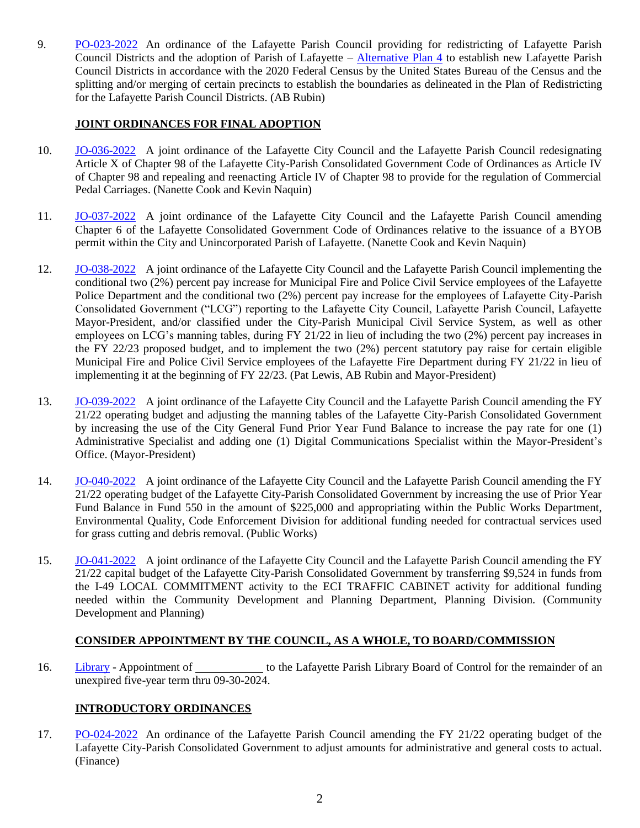9. [PO-023-2022](http://apps.lafayettela.gov/OBCouncil/ViewDocument.aspx?docID=2155070) An ordinance of the Lafayette Parish Council providing for redistricting of Lafayette Parish Council Districts and the adoption of Parish of Lafayette – [Alternative Plan 4](https://gis.doyleland.com/redistricting/lafayette/parishalt4.pdf) to establish new Lafayette Parish Council Districts in accordance with the 2020 Federal Census by the United States Bureau of the Census and the splitting and/or merging of certain precincts to establish the boundaries as delineated in the Plan of Redistricting for the Lafayette Parish Council Districts. (AB Rubin)

## **JOINT ORDINANCES FOR FINAL ADOPTION**

- 10. [JO-036-2022](http://apps.lafayettela.gov/OBCouncil/ViewDocument.aspx?docID=2155080) A joint ordinance of the Lafayette City Council and the Lafayette Parish Council redesignating Article X of Chapter 98 of the Lafayette City-Parish Consolidated Government Code of Ordinances as Article IV of Chapter 98 and repealing and reenacting Article IV of Chapter 98 to provide for the regulation of Commercial Pedal Carriages. (Nanette Cook and Kevin Naquin)
- 11. [JO-037-2022](http://apps.lafayettela.gov/OBCouncil/ViewDocument.aspx?docID=2155081) A joint ordinance of the Lafayette City Council and the Lafayette Parish Council amending Chapter 6 of the Lafayette Consolidated Government Code of Ordinances relative to the issuance of a BYOB permit within the City and Unincorporated Parish of Lafayette. (Nanette Cook and Kevin Naquin)
- 12. [JO-038-2022](http://apps.lafayettela.gov/OBCouncil/ViewDocument.aspx?docID=2155074) A joint ordinance of the Lafayette City Council and the Lafayette Parish Council implementing the conditional two (2%) percent pay increase for Municipal Fire and Police Civil Service employees of the Lafayette Police Department and the conditional two (2%) percent pay increase for the employees of Lafayette City-Parish Consolidated Government ("LCG") reporting to the Lafayette City Council, Lafayette Parish Council, Lafayette Mayor-President, and/or classified under the City-Parish Municipal Civil Service System, as well as other employees on LCG's manning tables, during FY 21/22 in lieu of including the two (2%) percent pay increases in the FY 22/23 proposed budget, and to implement the two (2%) percent statutory pay raise for certain eligible Municipal Fire and Police Civil Service employees of the Lafayette Fire Department during FY 21/22 in lieu of implementing it at the beginning of FY 22/23. (Pat Lewis, AB Rubin and Mayor-President)
- 13. [JO-039-2022](http://apps.lafayettela.gov/OBCouncil/ViewDocument.aspx?docID=2155076) A joint ordinance of the Lafayette City Council and the Lafayette Parish Council amending the FY 21/22 operating budget and adjusting the manning tables of the Lafayette City-Parish Consolidated Government by increasing the use of the City General Fund Prior Year Fund Balance to increase the pay rate for one (1) Administrative Specialist and adding one (1) Digital Communications Specialist within the Mayor-President's Office. (Mayor-President)
- 14. [JO-040-2022](http://apps.lafayettela.gov/OBCouncil/ViewDocument.aspx?docID=2155077) A joint ordinance of the Lafayette City Council and the Lafayette Parish Council amending the FY 21/22 operating budget of the Lafayette City-Parish Consolidated Government by increasing the use of Prior Year Fund Balance in Fund 550 in the amount of \$225,000 and appropriating within the Public Works Department, Environmental Quality, Code Enforcement Division for additional funding needed for contractual services used for grass cutting and debris removal. (Public Works)
- 15. [JO-041-2022](http://apps.lafayettela.gov/OBCouncil/ViewDocument.aspx?docID=2155079) A joint ordinance of the Lafayette City Council and the Lafayette Parish Council amending the FY 21/22 capital budget of the Lafayette City-Parish Consolidated Government by transferring \$9,524 in funds from the I-49 LOCAL COMMITMENT activity to the ECI TRAFFIC CABINET activity for additional funding needed within the Community Development and Planning Department, Planning Division. (Community Development and Planning)

## **CONSIDER APPOINTMENT BY THE COUNCIL, AS A WHOLE, TO BOARD/COMMISSION**

16. [Library](http://apps.lafayettela.gov/OBCouncil/ViewDocument.aspx?docID=2155082) - Appointment of to the Lafayette Parish Library Board of Control for the remainder of an unexpired five-year term thru 09-30-2024.

## **INTRODUCTORY ORDINANCES**

17. [PO-024-2022](http://apps.lafayettela.gov/OBCouncil/ViewDocument.aspx?docID=2155094) An ordinance of the Lafayette Parish Council amending the FY 21/22 operating budget of the Lafayette City-Parish Consolidated Government to adjust amounts for administrative and general costs to actual. (Finance)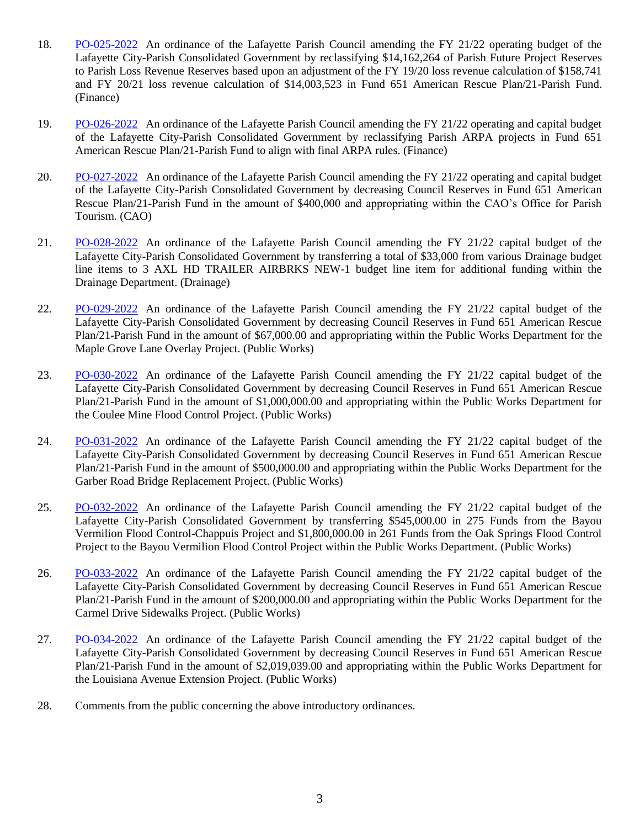- 18. [PO-025-2022](http://apps.lafayettela.gov/OBCouncil/ViewDocument.aspx?docID=2155095) An ordinance of the Lafayette Parish Council amending the FY 21/22 operating budget of the Lafayette City-Parish Consolidated Government by reclassifying \$14,162,264 of Parish Future Project Reserves to Parish Loss Revenue Reserves based upon an adjustment of the FY 19/20 loss revenue calculation of \$158,741 and FY 20/21 loss revenue calculation of \$14,003,523 in Fund 651 American Rescue Plan/21-Parish Fund. (Finance)
- 19. [PO-026-2022](http://apps.lafayettela.gov/OBCouncil/ViewDocument.aspx?docID=2155083) An ordinance of the Lafayette Parish Council amending the FY 21/22 operating and capital budget of the Lafayette City-Parish Consolidated Government by reclassifying Parish ARPA projects in Fund 651 American Rescue Plan/21-Parish Fund to align with final ARPA rules. (Finance)
- 20. [PO-027-2022](http://apps.lafayettela.gov/OBCouncil/ViewDocument.aspx?docID=2155084) An ordinance of the Lafayette Parish Council amending the FY 21/22 operating and capital budget of the Lafayette City-Parish Consolidated Government by decreasing Council Reserves in Fund 651 American Rescue Plan/21-Parish Fund in the amount of \$400,000 and appropriating within the CAO's Office for Parish Tourism. (CAO)
- 21. [PO-028-2022](http://apps.lafayettela.gov/OBCouncil/ViewDocument.aspx?docID=2155086) An ordinance of the Lafayette Parish Council amending the FY 21/22 capital budget of the Lafayette City-Parish Consolidated Government by transferring a total of \$33,000 from various Drainage budget line items to 3 AXL HD TRAILER AIRBRKS NEW-1 budget line item for additional funding within the Drainage Department. (Drainage)
- 22. [PO-029-2022](http://apps.lafayettela.gov/OBCouncil/ViewDocument.aspx?docID=2155087) An ordinance of the Lafayette Parish Council amending the FY 21/22 capital budget of the Lafayette City-Parish Consolidated Government by decreasing Council Reserves in Fund 651 American Rescue Plan/21-Parish Fund in the amount of \$67,000.00 and appropriating within the Public Works Department for the Maple Grove Lane Overlay Project. (Public Works)
- 23. [PO-030-2022](http://apps.lafayettela.gov/OBCouncil/ViewDocument.aspx?docID=2155089) An ordinance of the Lafayette Parish Council amending the FY 21/22 capital budget of the Lafayette City-Parish Consolidated Government by decreasing Council Reserves in Fund 651 American Rescue Plan/21-Parish Fund in the amount of \$1,000,000.00 and appropriating within the Public Works Department for the Coulee Mine Flood Control Project. (Public Works)
- 24. [PO-031-2022](http://apps.lafayettela.gov/OBCouncil/ViewDocument.aspx?docID=2155090) An ordinance of the Lafayette Parish Council amending the FY 21/22 capital budget of the Lafayette City-Parish Consolidated Government by decreasing Council Reserves in Fund 651 American Rescue Plan/21-Parish Fund in the amount of \$500,000.00 and appropriating within the Public Works Department for the Garber Road Bridge Replacement Project. (Public Works)
- 25. [PO-032-2022](http://apps.lafayettela.gov/OBCouncil/ViewDocument.aspx?docID=2155091) An ordinance of the Lafayette Parish Council amending the FY 21/22 capital budget of the Lafayette City-Parish Consolidated Government by transferring \$545,000.00 in 275 Funds from the Bayou Vermilion Flood Control-Chappuis Project and \$1,800,000.00 in 261 Funds from the Oak Springs Flood Control Project to the Bayou Vermilion Flood Control Project within the Public Works Department. (Public Works)
- 26. [PO-033-2022](http://apps.lafayettela.gov/OBCouncil/ViewDocument.aspx?docID=2155092) An ordinance of the Lafayette Parish Council amending the FY 21/22 capital budget of the Lafayette City-Parish Consolidated Government by decreasing Council Reserves in Fund 651 American Rescue Plan/21-Parish Fund in the amount of \$200,000.00 and appropriating within the Public Works Department for the Carmel Drive Sidewalks Project. (Public Works)
- 27. [PO-034-2022](http://apps.lafayettela.gov/OBCouncil/ViewDocument.aspx?docID=2155093) An ordinance of the Lafayette Parish Council amending the FY 21/22 capital budget of the Lafayette City-Parish Consolidated Government by decreasing Council Reserves in Fund 651 American Rescue Plan/21-Parish Fund in the amount of \$2,019,039.00 and appropriating within the Public Works Department for the Louisiana Avenue Extension Project. (Public Works)
- 28. Comments from the public concerning the above introductory ordinances.